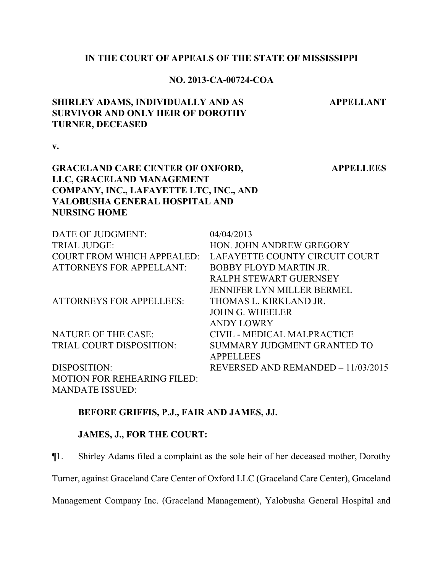#### **IN THE COURT OF APPEALS OF THE STATE OF MISSISSIPPI**

#### **NO. 2013-CA-00724-COA**

# **SHIRLEY ADAMS, INDIVIDUALLY AND AS SURVIVOR AND ONLY HEIR OF DOROTHY TURNER, DECEASED**

**v.**

# **GRACELAND CARE CENTER OF OXFORD, LLC, GRACELAND MANAGEMENT COMPANY, INC., LAFAYETTE LTC, INC., AND YALOBUSHA GENERAL HOSPITAL AND NURSING HOME**

DATE OF JUDGMENT: 04/04/2013 TRIAL JUDGE: HON. JOHN ANDREW GREGORY COURT FROM WHICH APPEALED: LAFAYETTE COUNTY CIRCUIT COURT ATTORNEYS FOR APPELLANT: BOBBY FLOYD MARTIN JR. RALPH STEWART GUERNSEY JENNIFER LYN MILLER BERMEL ATTORNEYS FOR APPELLEES: THOMAS L. KIRKLAND JR. JOHN G. WHEELER ANDY LOWRY NATURE OF THE CASE: CIVIL - MEDICAL MALPRACTICE TRIAL COURT DISPOSITION: SUMMARY JUDGMENT GRANTED TO APPELLEES DISPOSITION: REVERSED AND REMANDED – 11/03/2015 MOTION FOR REHEARING FILED:

MANDATE ISSUED:

#### **BEFORE GRIFFIS, P.J., FAIR AND JAMES, JJ.**

#### **JAMES, J., FOR THE COURT:**

¶1. Shirley Adams filed a complaint as the sole heir of her deceased mother, Dorothy

Turner, against Graceland Care Center of Oxford LLC (Graceland Care Center), Graceland

Management Company Inc. (Graceland Management), Yalobusha General Hospital and

### **APPELLEES**

**APPELLANT**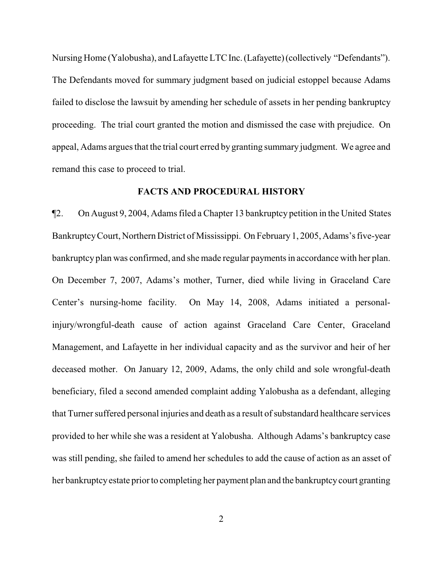Nursing Home (Yalobusha), and Lafayette LTCInc.(Lafayette)(collectively "Defendants"). The Defendants moved for summary judgment based on judicial estoppel because Adams failed to disclose the lawsuit by amending her schedule of assets in her pending bankruptcy proceeding. The trial court granted the motion and dismissed the case with prejudice. On appeal, Adams argues that the trial court erred by granting summary judgment. We agree and remand this case to proceed to trial.

#### **FACTS AND PROCEDURAL HISTORY**

¶2. On August 9, 2004, Adams filed a Chapter 13 bankruptcy petition in the United States BankruptcyCourt, Northern District of Mississippi. On February1, 2005, Adams's five-year bankruptcy plan was confirmed, and she made regular payments in accordance with her plan. On December 7, 2007, Adams's mother, Turner, died while living in Graceland Care Center's nursing-home facility. On May 14, 2008, Adams initiated a personalinjury/wrongful-death cause of action against Graceland Care Center, Graceland Management, and Lafayette in her individual capacity and as the survivor and heir of her deceased mother. On January 12, 2009, Adams, the only child and sole wrongful-death beneficiary, filed a second amended complaint adding Yalobusha as a defendant, alleging that Turner suffered personal injuries and death as a result of substandard healthcare services provided to her while she was a resident at Yalobusha. Although Adams's bankruptcy case was still pending, she failed to amend her schedules to add the cause of action as an asset of her bankruptcy estate prior to completing her payment plan and the bankruptcy court granting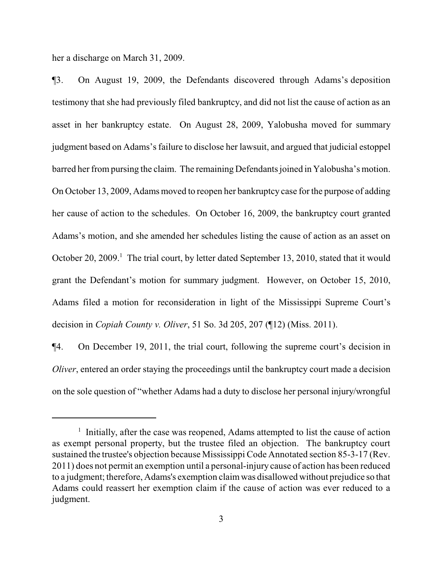her a discharge on March 31, 2009.

¶3. On August 19, 2009, the Defendants discovered through Adams's deposition testimony that she had previously filed bankruptcy, and did not list the cause of action as an asset in her bankruptcy estate. On August 28, 2009, Yalobusha moved for summary judgment based on Adams's failure to disclose her lawsuit, and argued that judicial estoppel barred her from pursing the claim. The remaining Defendants joined in Yalobusha's motion. On October 13, 2009, Adams moved to reopen her bankruptcy case for the purpose of adding her cause of action to the schedules. On October 16, 2009, the bankruptcy court granted Adams's motion, and she amended her schedules listing the cause of action as an asset on October 20, 2009.<sup>1</sup> The trial court, by letter dated September 13, 2010, stated that it would grant the Defendant's motion for summary judgment. However, on October 15, 2010, Adams filed a motion for reconsideration in light of the Mississippi Supreme Court's decision in *Copiah County v. Oliver*, 51 So. 3d 205, 207 (¶12) (Miss. 2011).

¶4. On December 19, 2011, the trial court, following the supreme court's decision in *Oliver*, entered an order staying the proceedings until the bankruptcy court made a decision on the sole question of "whether Adams had a duty to disclose her personal injury/wrongful

<sup>&</sup>lt;sup>1</sup> Initially, after the case was reopened, Adams attempted to list the cause of action as exempt personal property, but the trustee filed an objection. The bankruptcy court sustained the trustee's objection because Mississippi Code Annotated section 85-3-17 (Rev. 2011) does not permit an exemption until a personal-injury cause of action has been reduced to a judgment; therefore, Adams's exemption claimwas disallowed without prejudice so that Adams could reassert her exemption claim if the cause of action was ever reduced to a judgment.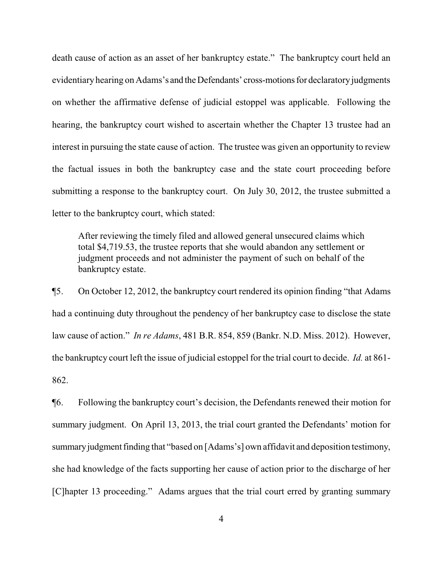death cause of action as an asset of her bankruptcy estate." The bankruptcy court held an evidentiary hearing on Adams's and the Defendants' cross-motions for declaratory judgments on whether the affirmative defense of judicial estoppel was applicable. Following the hearing, the bankruptcy court wished to ascertain whether the Chapter 13 trustee had an interest in pursuing the state cause of action. The trustee was given an opportunity to review the factual issues in both the bankruptcy case and the state court proceeding before submitting a response to the bankruptcy court. On July 30, 2012, the trustee submitted a letter to the bankruptcy court, which stated:

After reviewing the timely filed and allowed general unsecured claims which total \$4,719.53, the trustee reports that she would abandon any settlement or judgment proceeds and not administer the payment of such on behalf of the bankruptcy estate.

¶5. On October 12, 2012, the bankruptcy court rendered its opinion finding "that Adams had a continuing duty throughout the pendency of her bankruptcy case to disclose the state law cause of action." *In re Adams*, 481 B.R. 854, 859 (Bankr. N.D. Miss. 2012). However, the bankruptcy court left the issue of judicial estoppel for the trial court to decide. *Id.* at 861- 862.

¶6. Following the bankruptcy court's decision, the Defendants renewed their motion for summary judgment. On April 13, 2013, the trial court granted the Defendants' motion for summary judgment finding that "based on [Adams's] own affidavit and deposition testimony, she had knowledge of the facts supporting her cause of action prior to the discharge of her [C]hapter 13 proceeding." Adams argues that the trial court erred by granting summary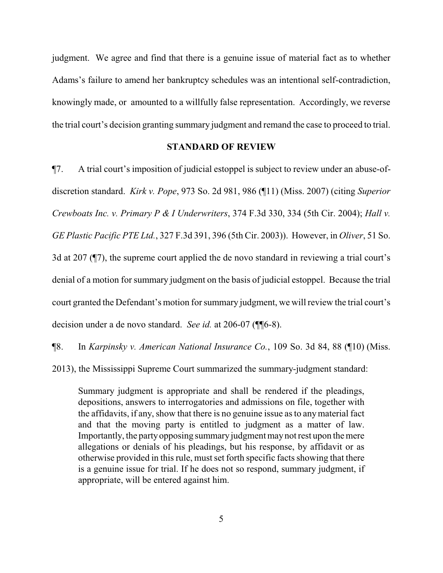judgment. We agree and find that there is a genuine issue of material fact as to whether Adams's failure to amend her bankruptcy schedules was an intentional self-contradiction, knowingly made, or amounted to a willfully false representation. Accordingly, we reverse the trial court's decision granting summary judgment and remand the case to proceed to trial.

#### **STANDARD OF REVIEW**

¶7. A trial court's imposition of judicial estoppel is subject to review under an abuse-ofdiscretion standard. *Kirk v. Pope*, 973 So. 2d 981, 986 (¶11) (Miss. 2007) (citing *Superior Crewboats Inc. v. Primary P & I Underwriters*, 374 F.3d 330, 334 (5th Cir. 2004); *Hall v. GE Plastic Pacific PTE Ltd.*, 327 F.3d 391, 396 (5th Cir. 2003)). However, in *Oliver*, 51 So. 3d at 207 (¶7), the supreme court applied the de novo standard in reviewing a trial court's denial of a motion for summary judgment on the basis of judicial estoppel. Because the trial court granted the Defendant's motion for summary judgment, we will review the trial court's decision under a de novo standard. *See id.* at 206-07 (¶¶6-8).

¶8. In *Karpinsky v. American National Insurance Co.*, 109 So. 3d 84, 88 (¶10) (Miss.

2013), the Mississippi Supreme Court summarized the summary-judgment standard:

Summary judgment is appropriate and shall be rendered if the pleadings, depositions, answers to interrogatories and admissions on file, together with the affidavits, if any, show that there is no genuine issue as to anymaterial fact and that the moving party is entitled to judgment as a matter of law. Importantly, the party opposing summary judgment may not rest upon the mere allegations or denials of his pleadings, but his response, by affidavit or as otherwise provided in this rule, must set forth specific facts showing that there is a genuine issue for trial. If he does not so respond, summary judgment, if appropriate, will be entered against him.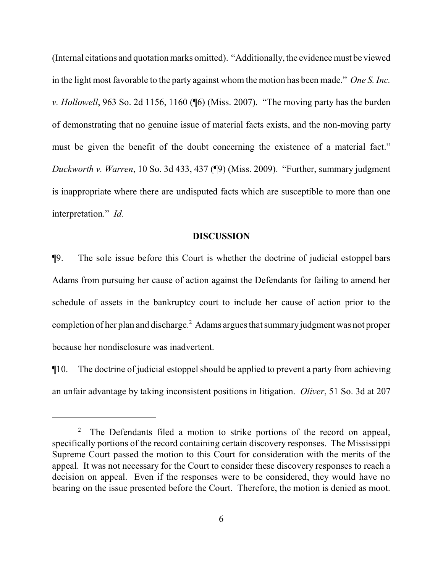(Internal citations and quotation marks omitted). "Additionally, the evidence must be viewed in the light most favorable to the party against whom the motion has been made." *One S. Inc. v. Hollowell*, 963 So. 2d 1156, 1160 (¶6) (Miss. 2007). "The moving party has the burden of demonstrating that no genuine issue of material facts exists, and the non-moving party must be given the benefit of the doubt concerning the existence of a material fact." *Duckworth v. Warren*, 10 So. 3d 433, 437 (¶9) (Miss. 2009). "Further, summary judgment is inappropriate where there are undisputed facts which are susceptible to more than one interpretation." *Id.* 

### **DISCUSSION**

¶9. The sole issue before this Court is whether the doctrine of judicial estoppel bars Adams from pursuing her cause of action against the Defendants for failing to amend her schedule of assets in the bankruptcy court to include her cause of action prior to the completion of her plan and discharge.<sup>2</sup> Adams argues that summaryjudgment was not proper because her nondisclosure was inadvertent.

¶10. The doctrine of judicial estoppel should be applied to prevent a party from achieving an unfair advantage by taking inconsistent positions in litigation. *Oliver*, 51 So. 3d at 207

<sup>&</sup>lt;sup>2</sup> The Defendants filed a motion to strike portions of the record on appeal, specifically portions of the record containing certain discovery responses. The Mississippi Supreme Court passed the motion to this Court for consideration with the merits of the appeal. It was not necessary for the Court to consider these discovery responses to reach a decision on appeal. Even if the responses were to be considered, they would have no bearing on the issue presented before the Court. Therefore, the motion is denied as moot.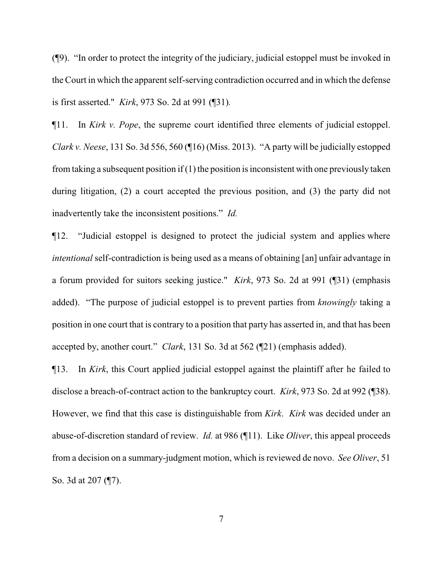(¶9). "In order to protect the integrity of the judiciary, judicial estoppel must be invoked in the Court in which the apparent self-serving contradiction occurred and in which the defense is first asserted." *Kirk*, 973 So. 2d at 991 (¶31)*.*

¶11. In *Kirk v. Pope*, the supreme court identified three elements of judicial estoppel. *Clark v. Neese*, 131 So. 3d 556, 560 (¶16) (Miss. 2013). "A party will be judicially estopped from taking a subsequent position if  $(1)$  the position is inconsistent with one previously taken during litigation, (2) a court accepted the previous position, and (3) the party did not inadvertently take the inconsistent positions." *Id.* 

¶12. "Judicial estoppel is designed to protect the judicial system and applies where *intentional* self-contradiction is being used as a means of obtaining [an] unfair advantage in a forum provided for suitors seeking justice." *Kirk*, 973 So. 2d at 991 (¶31) (emphasis added). "The purpose of judicial estoppel is to prevent parties from *knowingly* taking a position in one court that is contrary to a position that party has asserted in, and that has been accepted by, another court." *Clark*, 131 So. 3d at 562 (¶21) (emphasis added).

¶13. In *Kirk*, this Court applied judicial estoppel against the plaintiff after he failed to disclose a breach-of-contract action to the bankruptcy court. *Kirk*, 973 So. 2d at 992 (¶38). However, we find that this case is distinguishable from *Kirk*. *Kirk* was decided under an abuse-of-discretion standard of review. *Id.* at 986 (¶11). Like *Oliver*, this appeal proceeds from a decision on a summary-judgment motion, which is reviewed de novo. *See Oliver*, 51 So. 3d at 207 (¶7).

7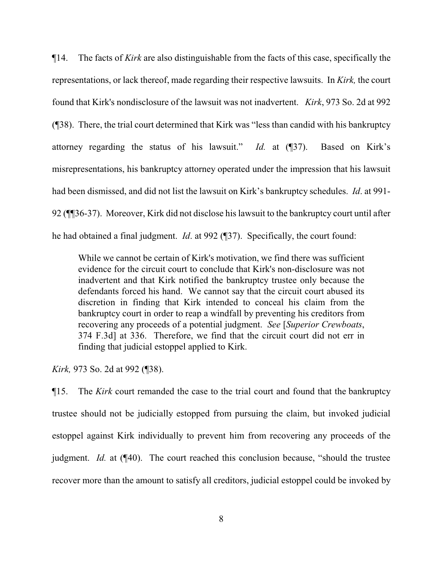¶14. The facts of *Kirk* are also distinguishable from the facts of this case, specifically the representations, or lack thereof, made regarding their respective lawsuits. In *Kirk,* the court found that Kirk's nondisclosure of the lawsuit was not inadvertent. *Kirk*, 973 So. 2d at 992 (¶38). There, the trial court determined that Kirk was "less than candid with his bankruptcy attorney regarding the status of his lawsuit." *Id.* at (¶37). Based on Kirk's misrepresentations, his bankruptcy attorney operated under the impression that his lawsuit had been dismissed, and did not list the lawsuit on Kirk's bankruptcy schedules. *Id*. at 991- 92 (¶¶36-37). Moreover, Kirk did not disclose his lawsuit to the bankruptcy court until after he had obtained a final judgment. *Id*. at 992 (¶37). Specifically, the court found:

While we cannot be certain of Kirk's motivation, we find there was sufficient evidence for the circuit court to conclude that Kirk's non-disclosure was not inadvertent and that Kirk notified the bankruptcy trustee only because the defendants forced his hand. We cannot say that the circuit court abused its discretion in finding that Kirk intended to conceal his claim from the bankruptcy court in order to reap a windfall by preventing his creditors from recovering any proceeds of a potential judgment. *See* [*Superior Crewboats*, 374 F.3d] at 336. Therefore, we find that the circuit court did not err in finding that judicial estoppel applied to Kirk.

*Kirk,* 973 So. 2d at 992 (¶38).

¶15. The *Kirk* court remanded the case to the trial court and found that the bankruptcy trustee should not be judicially estopped from pursuing the claim, but invoked judicial estoppel against Kirk individually to prevent him from recovering any proceeds of the judgment. *Id.* at (¶40). The court reached this conclusion because, "should the trustee recover more than the amount to satisfy all creditors, judicial estoppel could be invoked by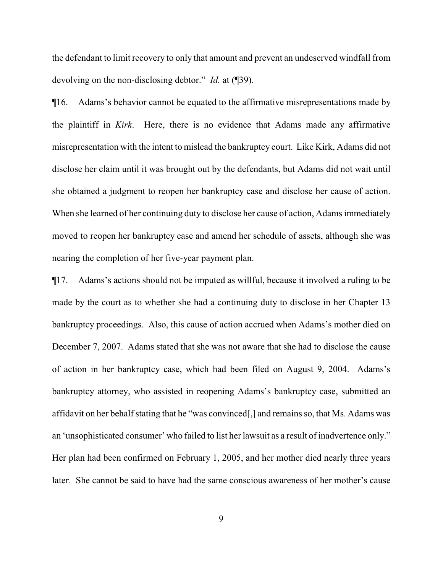the defendant to limit recovery to only that amount and prevent an undeserved windfall from devolving on the non-disclosing debtor." *Id.* at (¶39).

¶16. Adams's behavior cannot be equated to the affirmative misrepresentations made by the plaintiff in *Kirk*. Here, there is no evidence that Adams made any affirmative misrepresentation with the intent to mislead the bankruptcy court. Like Kirk, Adams did not disclose her claim until it was brought out by the defendants, but Adams did not wait until she obtained a judgment to reopen her bankruptcy case and disclose her cause of action. When she learned of her continuing duty to disclose her cause of action, Adams immediately moved to reopen her bankruptcy case and amend her schedule of assets, although she was nearing the completion of her five-year payment plan.

¶17. Adams's actions should not be imputed as willful, because it involved a ruling to be made by the court as to whether she had a continuing duty to disclose in her Chapter 13 bankruptcy proceedings. Also, this cause of action accrued when Adams's mother died on December 7, 2007. Adams stated that she was not aware that she had to disclose the cause of action in her bankruptcy case, which had been filed on August 9, 2004. Adams's bankruptcy attorney, who assisted in reopening Adams's bankruptcy case, submitted an affidavit on her behalf stating that he "was convinced[,] and remains so, that Ms. Adams was an 'unsophisticated consumer' who failed to list her lawsuit as a result of inadvertence only." Her plan had been confirmed on February 1, 2005, and her mother died nearly three years later. She cannot be said to have had the same conscious awareness of her mother's cause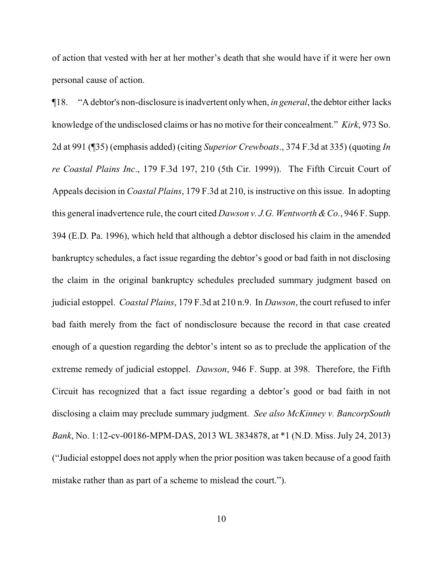of action that vested with her at her mother's death that she would have if it were her own personal cause of action.

¶18. "A debtor's non-disclosure is inadvertent onlywhen, *in general*,the debtor either lacks knowledge of the undisclosed claims or has no motive for their concealment." *Kirk*, 973 So. 2d at 991 (¶35) (emphasis added) (citing *Superior Crewboats*., 374 F.3d at 335) (quoting *In re Coastal Plains Inc*., 179 F.3d 197, 210 (5th Cir. 1999)). The Fifth Circuit Court of Appeals decision in *Coastal Plains*, 179 F.3d at 210, is instructive on this issue. In adopting this general inadvertence rule, the court cited *Dawson v. J.G. Wentworth &Co.*, 946 F. Supp. 394 (E.D. Pa. 1996), which held that although a debtor disclosed his claim in the amended bankruptcy schedules, a fact issue regarding the debtor's good or bad faith in not disclosing the claim in the original bankruptcy schedules precluded summary judgment based on judicial estoppel. *Coastal Plains*, 179 F.3d at 210 n.9. In *Dawson*, the court refused to infer bad faith merely from the fact of nondisclosure because the record in that case created enough of a question regarding the debtor's intent so as to preclude the application of the extreme remedy of judicial estoppel. *Dawson*, 946 F. Supp. at 398. Therefore, the Fifth Circuit has recognized that a fact issue regarding a debtor's good or bad faith in not disclosing a claim may preclude summary judgment. *See also McKinney v. BancorpSouth Bank*, No. 1:12-cv-00186-MPM-DAS, 2013 WL 3834878, at \*1 (N.D. Miss. July 24, 2013) ("Judicial estoppel does not apply when the prior position was taken because of a good faith mistake rather than as part of a scheme to mislead the court.").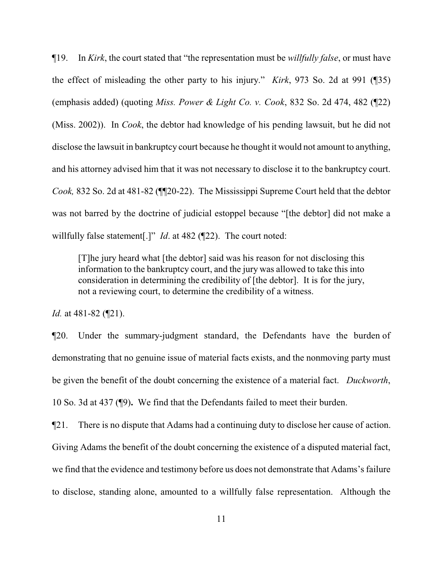¶19. In *Kirk*, the court stated that "the representation must be *willfully false*, or must have the effect of misleading the other party to his injury." *Kirk*, 973 So. 2d at 991 (¶35) (emphasis added) (quoting *Miss. Power & Light Co. v. Cook*, 832 So. 2d 474, 482 (¶22) (Miss. 2002)). In *Cook*, the debtor had knowledge of his pending lawsuit, but he did not disclose the lawsuit in bankruptcy court because he thought it would not amount to anything, and his attorney advised him that it was not necessary to disclose it to the bankruptcy court. *Cook,* 832 So. 2d at 481-82 (¶¶20-22). The Mississippi Supreme Court held that the debtor was not barred by the doctrine of judicial estoppel because "[the debtor] did not make a willfully false statement<sup>[1]</sup>" *Id.* at 482 (122). The court noted:

[T]he jury heard what [the debtor] said was his reason for not disclosing this information to the bankruptcy court, and the jury was allowed to take this into consideration in determining the credibility of [the debtor]. It is for the jury, not a reviewing court, to determine the credibility of a witness.

*Id.* at 481-82 (¶21).

¶20. Under the summary-judgment standard, the Defendants have the burden of demonstrating that no genuine issue of material facts exists, and the nonmoving party must be given the benefit of the doubt concerning the existence of a material fact. *Duckworth*, 10 So. 3d at 437 (¶9)**.** We find that the Defendants failed to meet their burden.

¶21. There is no dispute that Adams had a continuing duty to disclose her cause of action. Giving Adams the benefit of the doubt concerning the existence of a disputed material fact, we find that the evidence and testimony before us does not demonstrate that Adams's failure to disclose, standing alone, amounted to a willfully false representation. Although the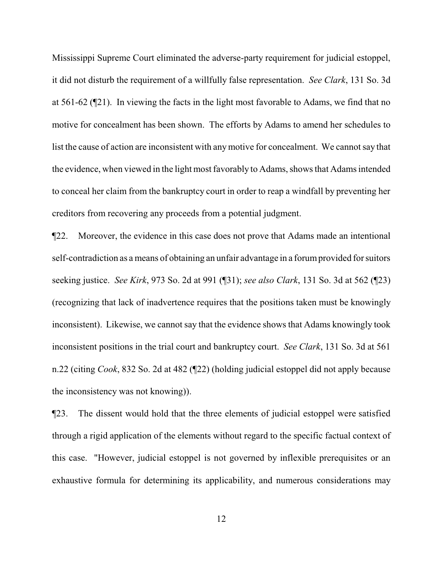Mississippi Supreme Court eliminated the adverse-party requirement for judicial estoppel, it did not disturb the requirement of a willfully false representation. *See Clark*, 131 So. 3d at 561-62 (¶21). In viewing the facts in the light most favorable to Adams, we find that no motive for concealment has been shown. The efforts by Adams to amend her schedules to list the cause of action are inconsistent with anymotive for concealment. We cannot say that the evidence, when viewed in the light most favorably to Adams, shows that Adams intended to conceal her claim from the bankruptcy court in order to reap a windfall by preventing her creditors from recovering any proceeds from a potential judgment.

¶22. Moreover, the evidence in this case does not prove that Adams made an intentional self-contradiction as a means of obtaining an unfair advantage in a forumprovided for suitors seeking justice. *See Kirk*, 973 So. 2d at 991 (¶31); *see also Clark*, 131 So. 3d at 562 (¶23) (recognizing that lack of inadvertence requires that the positions taken must be knowingly inconsistent). Likewise, we cannot say that the evidence shows that Adams knowingly took inconsistent positions in the trial court and bankruptcy court. *See Clark*, 131 So. 3d at 561 n.22 (citing *Cook*, 832 So. 2d at 482 (¶22) (holding judicial estoppel did not apply because the inconsistency was not knowing)).

¶23. The dissent would hold that the three elements of judicial estoppel were satisfied through a rigid application of the elements without regard to the specific factual context of this case. "However, judicial estoppel is not governed by inflexible prerequisites or an exhaustive formula for determining its applicability, and numerous considerations may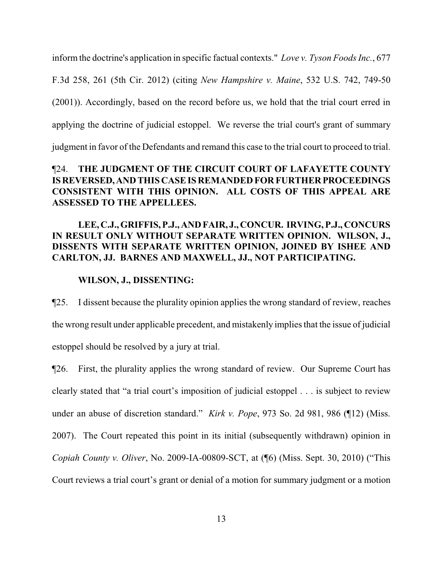inform the doctrine's application in specific factual contexts." *Love v. Tyson Foods Inc.*, 677 F.3d 258, 261 (5th Cir. 2012) (citing *New Hampshire v. Maine*, 532 U.S. 742, 749-50 (2001)). Accordingly, based on the record before us, we hold that the trial court erred in applying the doctrine of judicial estoppel. We reverse the trial court's grant of summary judgment in favor of the Defendants and remand this case to the trial court to proceed to trial.

# ¶24. **THE JUDGMENT OF THE CIRCUIT COURT OF LAFAYETTE COUNTY** IS REVERSED, AND THIS CASE IS REMANDED FOR FURTHER PROCEEDINGS **CONSISTENT WITH THIS OPINION. ALL COSTS OF THIS APPEAL ARE ASSESSED TO THE APPELLEES.**

# **LEE, C.J., GRIFFIS, P.J., AND FAIR, J., CONCUR. IRVING, P.J., CONCURS IN RESULT ONLY WITHOUT SEPARATE WRITTEN OPINION. WILSON, J., DISSENTS WITH SEPARATE WRITTEN OPINION, JOINED BY ISHEE AND CARLTON, JJ. BARNES AND MAXWELL, JJ., NOT PARTICIPATING.**

### **WILSON, J., DISSENTING:**

¶25. I dissent because the plurality opinion applies the wrong standard of review, reaches the wrong result under applicable precedent, and mistakenly implies that the issue of judicial estoppel should be resolved by a jury at trial.

¶26. First, the plurality applies the wrong standard of review. Our Supreme Court has clearly stated that "a trial court's imposition of judicial estoppel . . . is subject to review under an abuse of discretion standard." *Kirk v. Pope*, 973 So. 2d 981, 986 (¶12) (Miss. 2007). The Court repeated this point in its initial (subsequently withdrawn) opinion in *Copiah County v. Oliver*, No. 2009-IA-00809-SCT, at (¶6) (Miss. Sept. 30, 2010) ("This Court reviews a trial court's grant or denial of a motion for summary judgment or a motion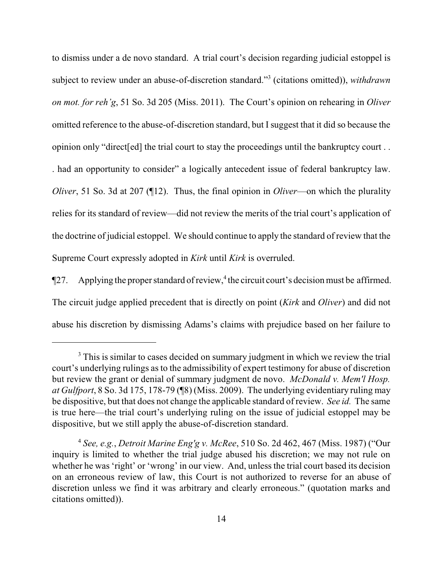to dismiss under a de novo standard. A trial court's decision regarding judicial estoppel is subject to review under an abuse-of-discretion standard."<sup>3</sup> (citations omitted)), *withdrawn on mot. for reh'g*, 51 So. 3d 205 (Miss. 2011). The Court's opinion on rehearing in *Oliver* omitted reference to the abuse-of-discretion standard, but I suggest that it did so because the opinion only "direct[ed] the trial court to stay the proceedings until the bankruptcy court . . . had an opportunity to consider" a logically antecedent issue of federal bankruptcy law. *Oliver*, 51 So. 3d at 207 (¶12). Thus, the final opinion in *Oliver*—on which the plurality relies for its standard of review—did not review the merits of the trial court's application of the doctrine of judicial estoppel. We should continue to apply the standard of review that the Supreme Court expressly adopted in *Kirk* until *Kirk* is overruled.

 $\P$ 27. Applying the proper standard of review, <sup>4</sup> the circuit court's decision must be affirmed. The circuit judge applied precedent that is directly on point (*Kirk* and *Oliver*) and did not abuse his discretion by dismissing Adams's claims with prejudice based on her failure to

<sup>&</sup>lt;sup>3</sup> This is similar to cases decided on summary judgment in which we review the trial court's underlying rulings as to the admissibility of expert testimony for abuse of discretion but review the grant or denial of summary judgment de novo. *McDonald v. Mem'l Hosp. at Gulfport*, 8 So. 3d 175, 178-79 (¶8) (Miss. 2009). The underlying evidentiary ruling may be dispositive, but that does not change the applicable standard of review. *See id.* The same is true here—the trial court's underlying ruling on the issue of judicial estoppel may be dispositive, but we still apply the abuse-of-discretion standard.

<sup>4</sup> *See, e.g.*, *Detroit Marine Eng'g v. McRee*, 510 So. 2d 462, 467 (Miss. 1987) ("Our inquiry is limited to whether the trial judge abused his discretion; we may not rule on whether he was 'right' or 'wrong' in our view. And, unless the trial court based its decision on an erroneous review of law, this Court is not authorized to reverse for an abuse of discretion unless we find it was arbitrary and clearly erroneous." (quotation marks and citations omitted)).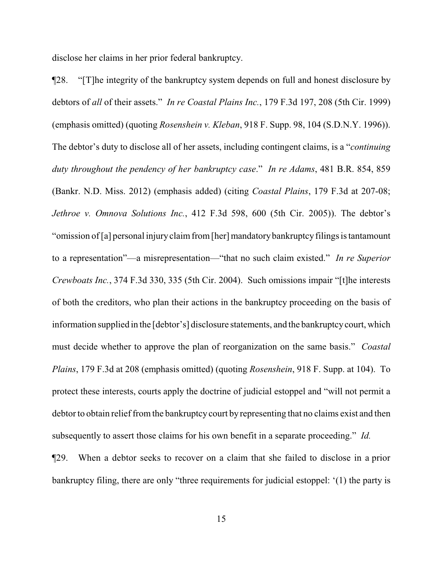disclose her claims in her prior federal bankruptcy.

¶28. "[T]he integrity of the bankruptcy system depends on full and honest disclosure by debtors of *all* of their assets." *In re Coastal Plains Inc.*, 179 F.3d 197, 208 (5th Cir. 1999) (emphasis omitted) (quoting *Rosenshein v. Kleban*, 918 F. Supp. 98, 104 (S.D.N.Y. 1996)). The debtor's duty to disclose all of her assets, including contingent claims, is a "*continuing duty throughout the pendency of her bankruptcy case*." *In re Adams*, 481 B.R. 854, 859 (Bankr. N.D. Miss. 2012) (emphasis added) (citing *Coastal Plains*, 179 F.3d at 207-08; *Jethroe v. Omnova Solutions Inc.*, 412 F.3d 598, 600 (5th Cir. 2005)). The debtor's "omission of [a] personal injury claim from [her] mandatory bankruptcy filings is tantamount to a representation"—a misrepresentation—"that no such claim existed." *In re Superior Crewboats Inc.*, 374 F.3d 330, 335 (5th Cir. 2004). Such omissions impair "[t]he interests of both the creditors, who plan their actions in the bankruptcy proceeding on the basis of information supplied in the [debtor's] disclosure statements, and the bankruptcycourt, which must decide whether to approve the plan of reorganization on the same basis." *Coastal Plains*, 179 F.3d at 208 (emphasis omitted) (quoting *Rosenshein*, 918 F. Supp. at 104). To protect these interests, courts apply the doctrine of judicial estoppel and "will not permit a debtor to obtain relief from the bankruptcy court by representing that no claims exist and then subsequently to assert those claims for his own benefit in a separate proceeding." *Id.* ¶29. When a debtor seeks to recover on a claim that she failed to disclose in a prior

bankruptcy filing, there are only "three requirements for judicial estoppel: '(1) the party is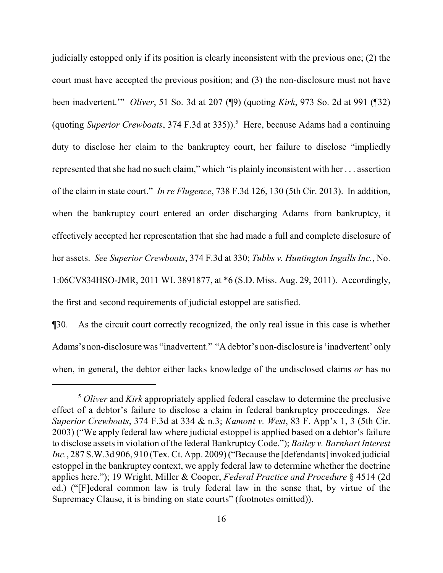judicially estopped only if its position is clearly inconsistent with the previous one; (2) the court must have accepted the previous position; and (3) the non-disclosure must not have been inadvertent.'" *Oliver*, 51 So. 3d at 207 (¶9) (quoting *Kirk*, 973 So. 2d at 991 (¶32) (quoting *Superior Crewboats*, 374 F.3d at 335)).<sup>5</sup> Here, because Adams had a continuing duty to disclose her claim to the bankruptcy court, her failure to disclose "impliedly represented that she had no such claim," which "is plainly inconsistent with her . . . assertion of the claim in state court." *In re Flugence*, 738 F.3d 126, 130 (5th Cir. 2013). In addition, when the bankruptcy court entered an order discharging Adams from bankruptcy, it effectively accepted her representation that she had made a full and complete disclosure of her assets. *See Superior Crewboats*, 374 F.3d at 330; *Tubbs v. Huntington Ingalls Inc.*, No. 1:06CV834HSO-JMR, 2011 WL 3891877, at \*6 (S.D. Miss. Aug. 29, 2011). Accordingly, the first and second requirements of judicial estoppel are satisfied.

¶30. As the circuit court correctly recognized, the only real issue in this case is whether Adams's non-disclosure was "inadvertent." "A debtor's non-disclosure is 'inadvertent' only when, in general, the debtor either lacks knowledge of the undisclosed claims *or* has no

<sup>5</sup> *Oliver* and *Kirk* appropriately applied federal caselaw to determine the preclusive effect of a debtor's failure to disclose a claim in federal bankruptcy proceedings. *See Superior Crewboats*, 374 F.3d at 334 & n.3; *Kamont v. West*, 83 F. App'x 1, 3 (5th Cir. 2003) ("We apply federal law where judicial estoppel is applied based on a debtor's failure to disclose assets in violation of the federal BankruptcyCode."); *Bailey v. Barnhart Interest* Inc., 287 S.W.3d 906, 910 (Tex. Ct. App. 2009) ("Because the [defendants] invoked judicial estoppel in the bankruptcy context, we apply federal law to determine whether the doctrine applies here."); 19 Wright, Miller & Cooper, *Federal Practice and Procedure* § 4514 (2d ed.) ("[F]ederal common law is truly federal law in the sense that, by virtue of the Supremacy Clause, it is binding on state courts" (footnotes omitted)).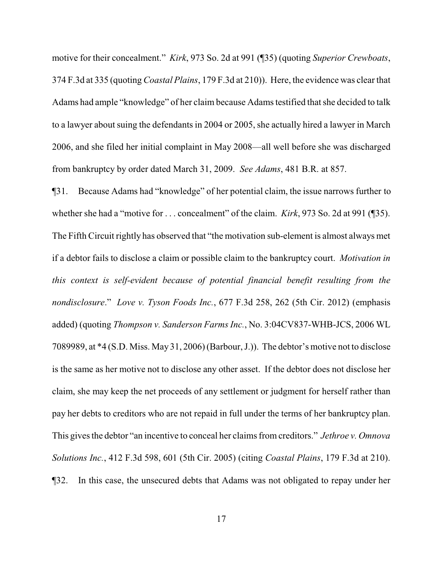motive for their concealment." *Kirk*, 973 So. 2d at 991 (¶35) (quoting *Superior Crewboats*, 374 F.3d at 335 (quoting *Coastal Plains*, 179 F.3d at 210)). Here, the evidence was clear that Adams had ample "knowledge" of her claim because Adams testified that she decided to talk to a lawyer about suing the defendants in 2004 or 2005, she actually hired a lawyer in March 2006, and she filed her initial complaint in May 2008—all well before she was discharged from bankruptcy by order dated March 31, 2009. *See Adams*, 481 B.R. at 857.

¶31. Because Adams had "knowledge" of her potential claim, the issue narrows further to whether she had a "motive for . . . concealment" of the claim. *Kirk*, 973 So. 2d at 991 (¶35). The Fifth Circuit rightly has observed that "the motivation sub-element is almost always met if a debtor fails to disclose a claim or possible claim to the bankruptcy court. *Motivation in this context is self-evident because of potential financial benefit resulting from the nondisclosure*." *Love v. Tyson Foods Inc.*, 677 F.3d 258, 262 (5th Cir. 2012) (emphasis added) (quoting *Thompson v. Sanderson Farms Inc.*, No. 3:04CV837-WHB-JCS, 2006 WL 7089989, at \*4 (S.D. Miss. May 31, 2006) (Barbour, J.)). The debtor's motive not to disclose is the same as her motive not to disclose any other asset. If the debtor does not disclose her claim, she may keep the net proceeds of any settlement or judgment for herself rather than pay her debts to creditors who are not repaid in full under the terms of her bankruptcy plan. This gives the debtor "an incentive to conceal her claims fromcreditors." *Jethroe v. Omnova Solutions Inc.*, 412 F.3d 598, 601 (5th Cir. 2005) (citing *Coastal Plains*, 179 F.3d at 210). ¶32. In this case, the unsecured debts that Adams was not obligated to repay under her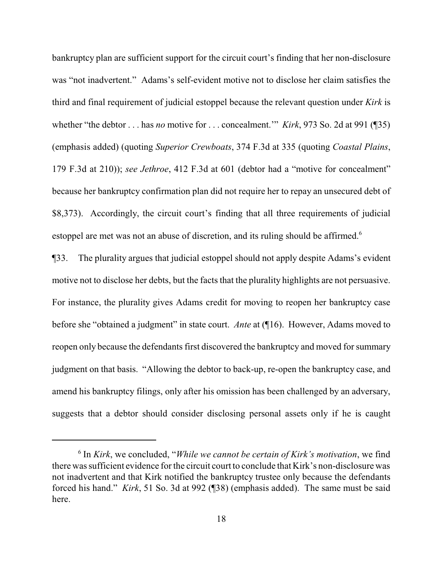bankruptcy plan are sufficient support for the circuit court's finding that her non-disclosure was "not inadvertent." Adams's self-evident motive not to disclose her claim satisfies the third and final requirement of judicial estoppel because the relevant question under *Kirk* is whether "the debtor . . . has *no* motive for . . . concealment.'" *Kirk*, 973 So. 2d at 991 (¶35) (emphasis added) (quoting *Superior Crewboats*, 374 F.3d at 335 (quoting *Coastal Plains*, 179 F.3d at 210)); *see Jethroe*, 412 F.3d at 601 (debtor had a "motive for concealment" because her bankruptcy confirmation plan did not require her to repay an unsecured debt of \$8,373). Accordingly, the circuit court's finding that all three requirements of judicial estoppel are met was not an abuse of discretion, and its ruling should be affirmed.<sup>6</sup>

¶33. The plurality argues that judicial estoppel should not apply despite Adams's evident motive not to disclose her debts, but the facts that the plurality highlights are not persuasive. For instance, the plurality gives Adams credit for moving to reopen her bankruptcy case before she "obtained a judgment" in state court. *Ante* at (¶16). However, Adams moved to reopen only because the defendants first discovered the bankruptcy and moved for summary judgment on that basis. "Allowing the debtor to back-up, re-open the bankruptcy case, and amend his bankruptcy filings, only after his omission has been challenged by an adversary, suggests that a debtor should consider disclosing personal assets only if he is caught

<sup>6</sup> In *Kirk*, we concluded, "*While we cannot be certain of Kirk's motivation*, we find there was sufficient evidence for the circuit court to conclude that Kirk's non-disclosure was not inadvertent and that Kirk notified the bankruptcy trustee only because the defendants forced his hand." *Kirk*, 51 So. 3d at 992 (¶38) (emphasis added). The same must be said here.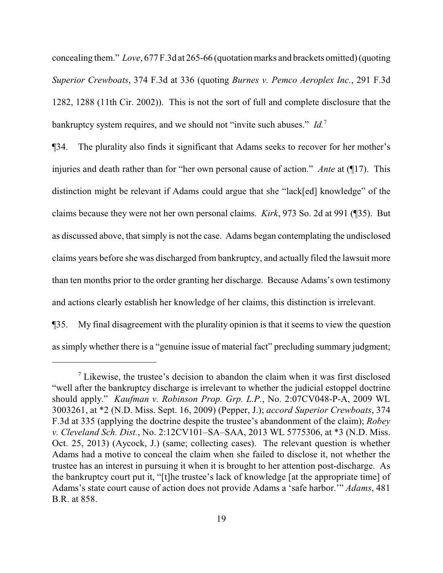concealing them." *Love*, 677 F.3d at 265-66 (quotation marks and brackets omitted) (quoting *Superior Crewboats*, 374 F.3d at 336 (quoting *Burnes v. Pemco Aeroplex Inc.*, 291 F.3d 1282, 1288 (11th Cir. 2002)). This is not the sort of full and complete disclosure that the bankruptcy system requires, and we should not "invite such abuses." *Id.*<sup>7</sup>

¶34. The plurality also finds it significant that Adams seeks to recover for her mother's injuries and death rather than for "her own personal cause of action." *Ante* at (¶17). This distinction might be relevant if Adams could argue that she "lack[ed] knowledge" of the claims because they were not her own personal claims. *Kirk*, 973 So. 2d at 991 (¶35). But as discussed above, that simply is not the case. Adams began contemplating the undisclosed claims years before she was discharged from bankruptcy, and actually filed the lawsuit more than ten months prior to the order granting her discharge. Because Adams's own testimony and actions clearly establish her knowledge of her claims, this distinction is irrelevant.

¶35. My final disagreement with the plurality opinion is that it seems to view the question as simply whether there is a "genuine issue of material fact" precluding summary judgment;

 $\frac{7}{1}$  Likewise, the trustee's decision to abandon the claim when it was first disclosed "well after the bankruptcy discharge is irrelevant to whether the judicial estoppel doctrine should apply." *Kaufman v. Robinson Prop. Grp. L.P.*, No. 2:07CV048-P-A, 2009 WL 3003261, at \*2 (N.D. Miss. Sept. 16, 2009) (Pepper, J.); *accord Superior Crewboats*, 374 F.3d at 335 (applying the doctrine despite the trustee's abandonment of the claim); *Robey v. Cleveland Sch. Dist.*, No. 2:12CV101–SA–SAA, 2013 WL 5775306, at \*3 (N.D. Miss. Oct. 25, 2013) (Aycock, J.) (same; collecting cases). The relevant question is whether Adams had a motive to conceal the claim when she failed to disclose it, not whether the trustee has an interest in pursuing it when it is brought to her attention post-discharge. As the bankruptcy court put it, "[t]he trustee's lack of knowledge [at the appropriate time] of Adams's state court cause of action does not provide Adams a 'safe harbor.'" *Adams*, 481 B.R. at 858.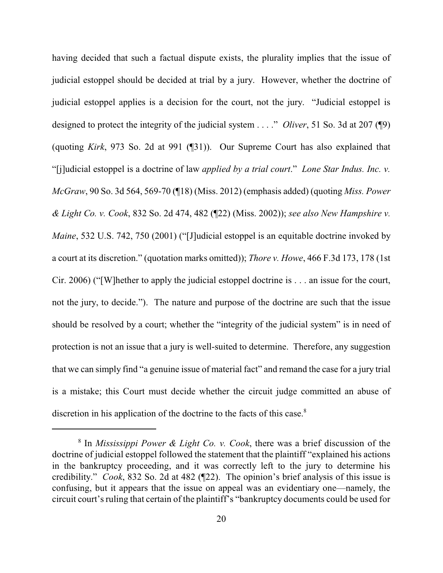having decided that such a factual dispute exists, the plurality implies that the issue of judicial estoppel should be decided at trial by a jury. However, whether the doctrine of judicial estoppel applies is a decision for the court, not the jury. "Judicial estoppel is designed to protect the integrity of the judicial system . . . ." *Oliver*, 51 So. 3d at 207 (¶9) (quoting *Kirk*, 973 So. 2d at 991 (¶31)). Our Supreme Court has also explained that "[j]udicial estoppel is a doctrine of law *applied by a trial court*." *Lone Star Indus. Inc. v. McGraw*, 90 So. 3d 564, 569-70 (¶18) (Miss. 2012) (emphasis added) (quoting *Miss. Power & Light Co. v. Cook*, 832 So. 2d 474, 482 (¶22) (Miss. 2002)); *see also New Hampshire v. Maine*, 532 U.S. 742, 750 (2001) ("[J]udicial estoppel is an equitable doctrine invoked by a court at its discretion." (quotation marks omitted)); *Thore v. Howe*, 466 F.3d 173, 178 (1st Cir. 2006) ("[W]hether to apply the judicial estoppel doctrine is . . . an issue for the court, not the jury, to decide."). The nature and purpose of the doctrine are such that the issue should be resolved by a court; whether the "integrity of the judicial system" is in need of protection is not an issue that a jury is well-suited to determine. Therefore, any suggestion that we can simply find "a genuine issue of material fact" and remand the case for a jury trial is a mistake; this Court must decide whether the circuit judge committed an abuse of discretion in his application of the doctrine to the facts of this case.<sup>8</sup>

<sup>8</sup> In *Mississippi Power & Light Co. v. Cook*, there was a brief discussion of the doctrine of judicial estoppel followed the statement that the plaintiff "explained his actions in the bankruptcy proceeding, and it was correctly left to the jury to determine his credibility." *Cook*, 832 So. 2d at 482 (¶22). The opinion's brief analysis of this issue is confusing, but it appears that the issue on appeal was an evidentiary one—namely, the circuit court's ruling that certain of the plaintiff's "bankruptcy documents could be used for